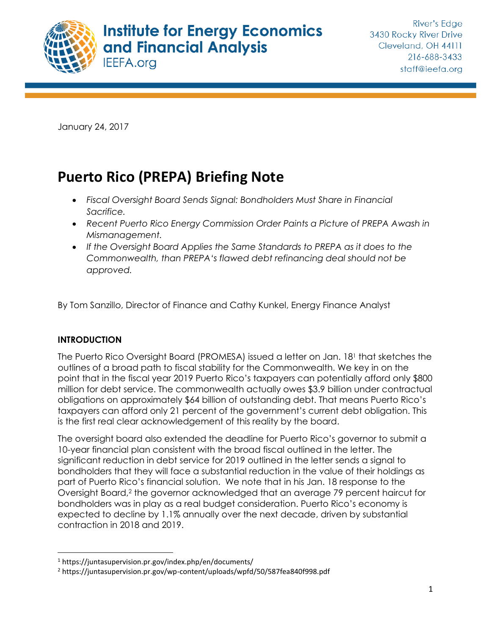

January 24, 2017

# **Puerto Rico (PREPA) Briefing Note**

- x *Fiscal Oversight Board Sends Signal: Bondholders Must Share in Financial Sacrifice.*
- x *Recent Puerto Rico Energy Commission Order Paints a Picture of PREPA Awash in Mismanagement.*
- x *If the Oversight Board Applies the Same Standards to PREPA as it does to the Commonwealth, than PREPA's flawed debt refinancing deal should not be approved.*

By Tom Sanzillo, Director of Finance and Cathy Kunkel, Energy Finance Analyst

#### **INTRODUCTION**

The Puerto Rico Oversight Board (PROMESA) issued a letter on Jan. 181 that sketches the outlines of a broad path to fiscal stability for the Commonwealth. We key in on the point that in the fiscal year 2019 Puerto Rico's taxpayers can potentially afford only \$800 million for debt service. The commonwealth actually owes \$3.9 billion under contractual obligations on approximately \$64 billion of outstanding debt. That means Puerto Rico's taxpayers can afford only 21 percent of the government's current debt obligation. This is the first real clear acknowledgement of this reality by the board.

The oversight board also extended the deadline for Puerto Rico's governor to submit a 10-year financial plan consistent with the broad fiscal outlined in the letter. The significant reduction in debt service for 2019 outlined in the letter sends a signal to bondholders that they will face a substantial reduction in the value of their holdings as part of Puerto Rico's financial solution. We note that in his Jan. 18 response to the Oversight Board,2 the governor acknowledged that an average 79 percent haircut for bondholders was in play as a real budget consideration. Puerto Rico's economy is expected to decline by 1.1% annually over the next decade, driven by substantial contraction in 2018 and 2019.

 <sup>1</sup> https://juntasupervision.pr.gov/index.php/en/documents/

<sup>2</sup> https://juntasupervision.pr.gov/wp-content/uploads/wpfd/50/587fea840f998.pdf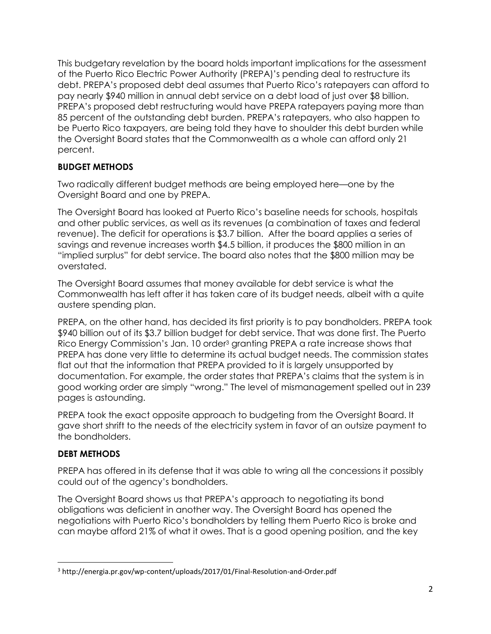This budgetary revelation by the board holds important implications for the assessment of the Puerto Rico Electric Power Authority (PREPA)'s pending deal to restructure its debt. PREPA's proposed debt deal assumes that Puerto Rico's ratepayers can afford to pay nearly \$940 million in annual debt service on a debt load of just over \$8 billion. PREPA's proposed debt restructuring would have PREPA ratepayers paying more than 85 percent of the outstanding debt burden. PREPA's ratepayers, who also happen to be Puerto Rico taxpayers, are being told they have to shoulder this debt burden while the Oversight Board states that the Commonwealth as a whole can afford only 21 percent.

### **BUDGET METHODS**

Two radically different budget methods are being employed here—one by the Oversight Board and one by PREPA.

The Oversight Board has looked at Puerto Rico's baseline needs for schools, hospitals and other public services, as well as its revenues (a combination of taxes and federal revenue). The deficit for operations is \$3.7 billion. After the board applies a series of savings and revenue increases worth \$4.5 billion, it produces the \$800 million in an "implied surplus" for debt service. The board also notes that the \$800 million may be overstated.

The Oversight Board assumes that money available for debt service is what the Commonwealth has left after it has taken care of its budget needs, albeit with a quite austere spending plan.

PREPA, on the other hand, has decided its first priority is to pay bondholders. PREPA took \$940 billion out of its \$3.7 billion budget for debt service. That was done first. The Puerto Rico Energy Commission's Jan. 10 order3 granting PREPA a rate increase shows that PREPA has done very little to determine its actual budget needs. The commission states flat out that the information that PREPA provided to it is largely unsupported by documentation. For example, the order states that PREPA's claims that the system is in good working order are simply "wrong." The level of mismanagement spelled out in 239 pages is astounding.

PREPA took the exact opposite approach to budgeting from the Oversight Board. It gave short shrift to the needs of the electricity system in favor of an outsize payment to the bondholders.

# **DEBT METHODS**

PREPA has offered in its defense that it was able to wring all the concessions it possibly could out of the agency's bondholders.

The Oversight Board shows us that PREPA's approach to negotiating its bond obligations was deficient in another way. The Oversight Board has opened the negotiations with Puerto Rico's bondholders by telling them Puerto Rico is broke and can maybe afford 21% of what it owes. That is a good opening position, and the key

 <sup>3</sup> http://energia.pr.gov/wp-content/uploads/2017/01/Final-Resolution-and-Order.pdf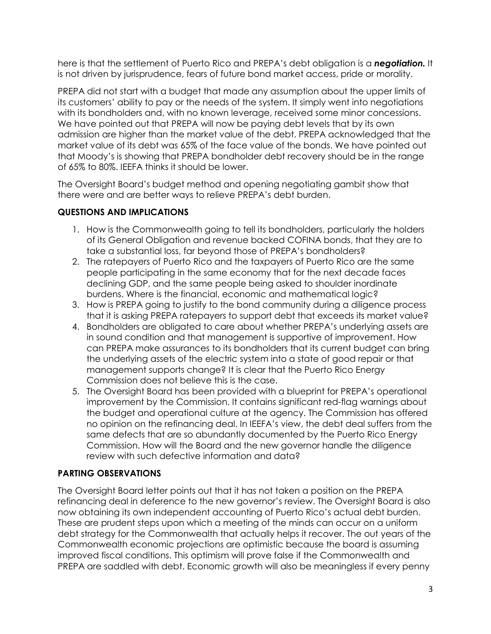here is that the settlement of Puerto Rico and PREPA's debt obligation is a *negotiation.* It is not driven by jurisprudence, fears of future bond market access, pride or morality.

PREPA did not start with a budget that made any assumption about the upper limits of its customers' ability to pay or the needs of the system. It simply went into negotiations with its bondholders and, with no known leverage, received some minor concessions. We have pointed out that PREPA will now be paying debt levels that by its own admission are higher than the market value of the debt. PREPA acknowledged that the market value of its debt was 65% of the face value of the bonds. We have pointed out that Moody's is showing that PREPA bondholder debt recovery should be in the range of 65% to 80%. IEEFA thinks it should be lower.

The Oversight Board's budget method and opening negotiating gambit show that there were and are better ways to relieve PREPA's debt burden.

### **QUESTIONS AND IMPLICATIONS**

- 1. How is the Commonwealth going to tell its bondholders, particularly the holders of its General Obligation and revenue backed COFINA bonds, that they are to take a substantial loss, far beyond those of PREPA's bondholders?
- 2. The ratepayers of Puerto Rico and the taxpayers of Puerto Rico are the same people participating in the same economy that for the next decade faces declining GDP, and the same people being asked to shoulder inordinate burdens. Where is the financial, economic and mathematical logic?
- 3. How is PREPA going to justify to the bond community during a diligence process that it is asking PREPA ratepayers to support debt that exceeds its market value?
- 4. Bondholders are obligated to care about whether PREPA's underlying assets are in sound condition and that management is supportive of improvement. How can PREPA make assurances to its bondholders that its current budget can bring the underlying assets of the electric system into a state of good repair or that management supports change? It is clear that the Puerto Rico Energy Commission does not believe this is the case.
- 5. The Oversight Board has been provided with a blueprint for PREPA's operational improvement by the Commission. It contains significant red-flag warnings about the budget and operational culture at the agency. The Commission has offered no opinion on the refinancing deal. In IEEFA's view, the debt deal suffers from the same defects that are so abundantly documented by the Puerto Rico Energy Commission. How will the Board and the new governor handle the diligence review with such defective information and data?

# **PARTING OBSERVATIONS**

The Oversight Board letter points out that it has not taken a position on the PREPA refinancing deal in deference to the new governor's review. The Oversight Board is also now obtaining its own independent accounting of Puerto Rico's actual debt burden. These are prudent steps upon which a meeting of the minds can occur on a uniform debt strategy for the Commonwealth that actually helps it recover. The out years of the Commonwealth economic projections are optimistic because the board is assuming improved fiscal conditions. This optimism will prove false if the Commonwealth and PREPA are saddled with debt. Economic growth will also be meaningless if every penny